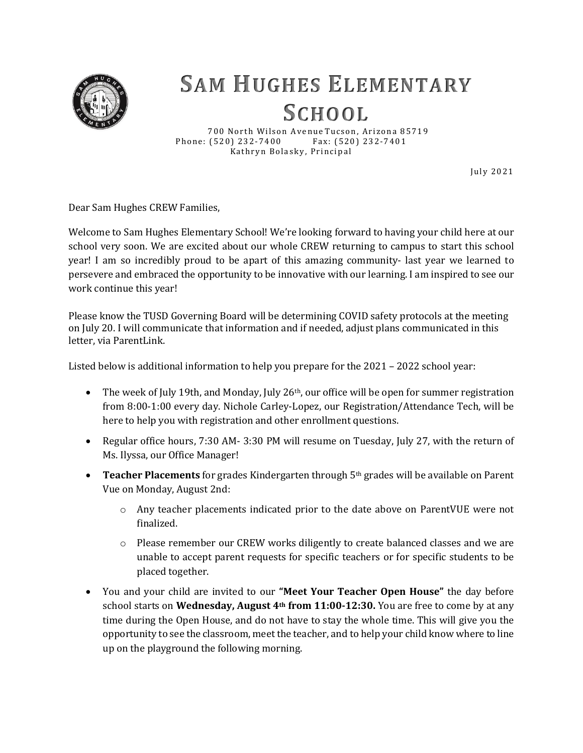

## **SAM HUGHES ELEMENTARY SCHOOL**

700 North Wilson Avenue Tucson, Arizona 85719 Phone: (520) 232-7400 Fax: (520) 232-7401 Kathryn Bolasky, Principal

Ju ly 2 0 2 1

Dear Sam Hughes CREW Families,

Welcome to Sam Hughes Elementary School! We're looking forward to having your child here at our school very soon. We are excited about our whole CREW returning to campus to start this school year! I am so incredibly proud to be apart of this amazing community- last year we learned to persevere and embraced the opportunity to be innovative with our learning. I am inspired to see our work continue this year!

Please know the TUSD Governing Board will be determining COVID safety protocols at the meeting on July 20. I will communicate that information and if needed, adjust plans communicated in this letter, via ParentLink.

Listed below is additional information to help you prepare for the 2021 – 2022 school year:

- The week of July 19th, and Monday, July 26<sup>th</sup>, our office will be open for summer registration from 8:00-1:00 every day. Nichole Carley-Lopez, our Registration/Attendance Tech, will be here to help you with registration and other enrollment questions.
- Regular office hours, 7:30 AM- 3:30 PM will resume on Tuesday, July 27, with the return of Ms. Ilyssa, our Office Manager!
- **Teacher Placements** for grades Kindergarten through 5th grades will be available on Parent Vue on Monday, August 2nd:
	- o Any teacher placements indicated prior to the date above on ParentVUE were not finalized.
	- o Please remember our CREW works diligently to create balanced classes and we are unable to accept parent requests for specific teachers or for specific students to be placed together.
- You and your child are invited to our **"Meet Your Teacher Open House"** the day before school starts on **Wednesday, August 4th from 11:00-12:30.** You are free to come by at any time during the Open House, and do not have to stay the whole time. This will give you the opportunity to see the classroom, meet the teacher, and to help your child know where to line up on the playground the following morning.